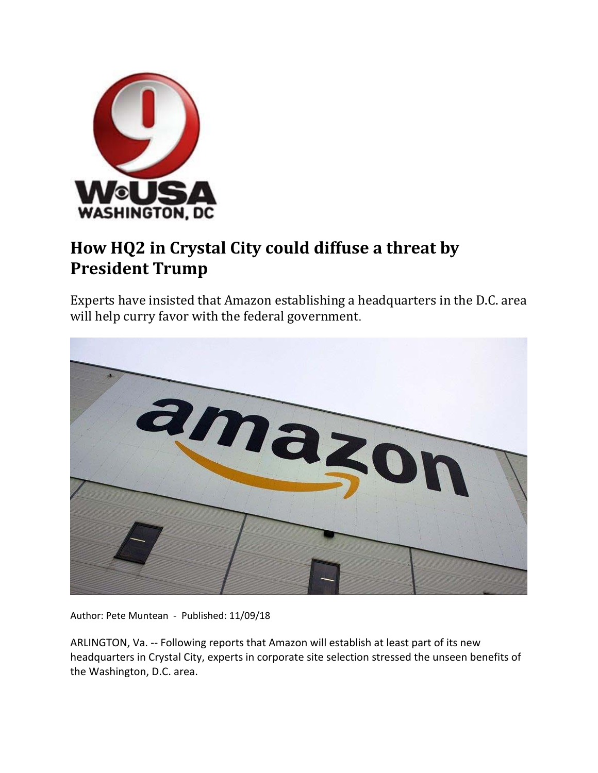

## **How HQ2 in Crystal City could diffuse a threat by President Trump**

Experts have insisted that Amazon establishing a headquarters in the D.C. area will help curry favor with the federal government.



Author: Pete Muntean ‐ Published: 11/09/18

ARLINGTON, Va. ‐‐ Following reports that Amazon will establish at least part of its new headquarters in Crystal City, experts in corporate site selection stressed the unseen benefits of the Washington, D.C. area.